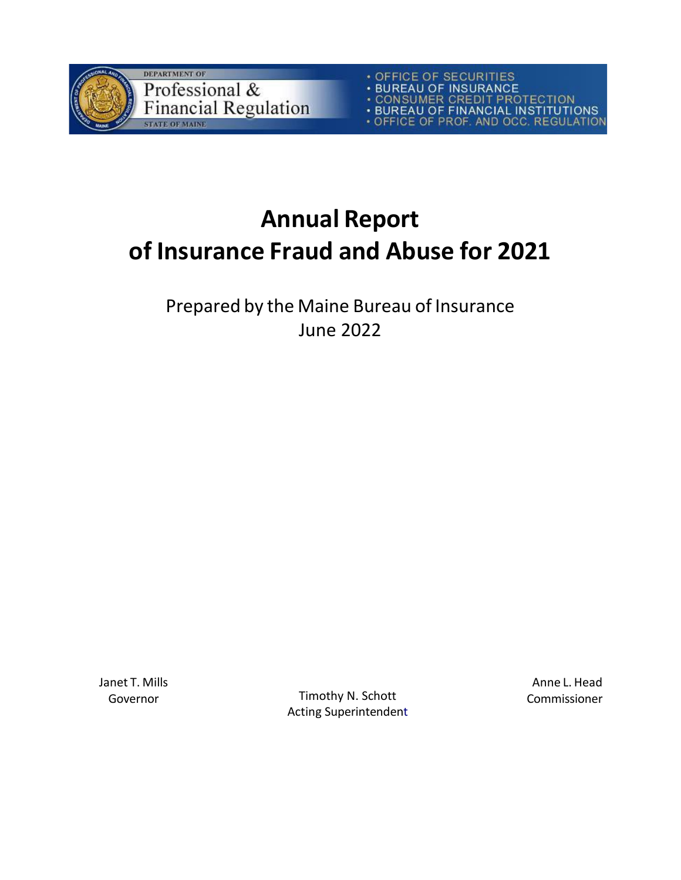

• OFFICE OF SECURITIES<br>• BUREAU OF INSURANCE<br>• CONSUMER CREDIT PROTECTION<br>• BUREAU OF FINANCIAL INSTITUTIONS<br>• OFFICE OF PROF. AND OCC. REGULATION

## **Annual Report of Insurance Fraud and Abuse for 2021**

Prepared by the Maine Bureau of Insurance June 2022

Janet T. Mills

Governor Timothy N. Schott Acting Superintendent

Anne L. Head Commissioner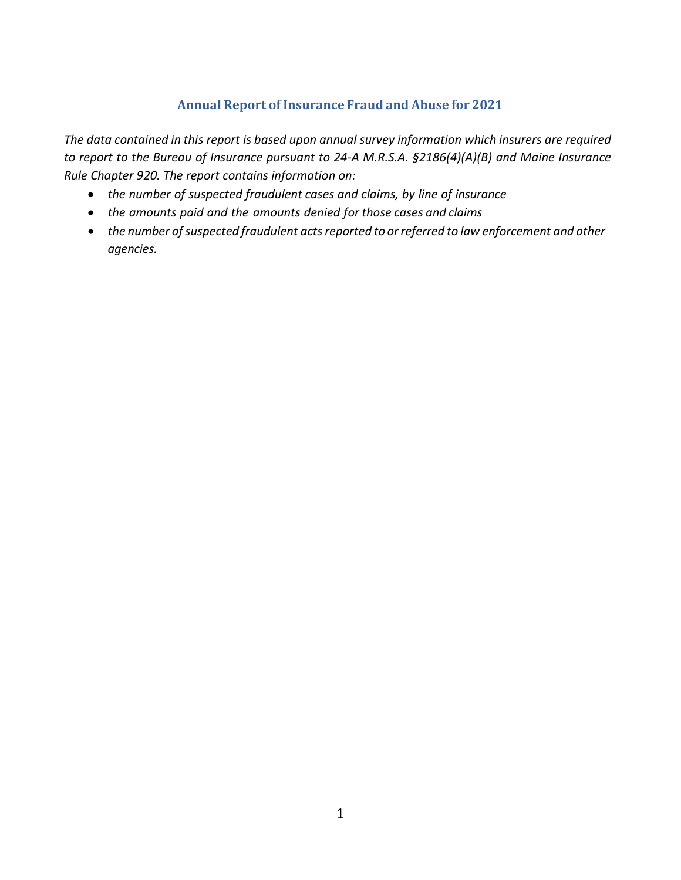## **Annual Report of Insurance Fraud and Abuse for 2021**

*The data contained in this report is based upon annual survey information which insurers are required to report to the Bureau of Insurance pursuant to 24-A M.R.S.A. §2186(4)(A)(B) and Maine Insurance Rule Chapter 920. The report contains information on:*

- *the number of suspected fraudulent cases and claims, by line of insurance*
- *the amounts paid and the amounts denied for those cases and claims*
- *the number ofsuspected fraudulent actsreported to orreferred to law enforcement and other agencies.*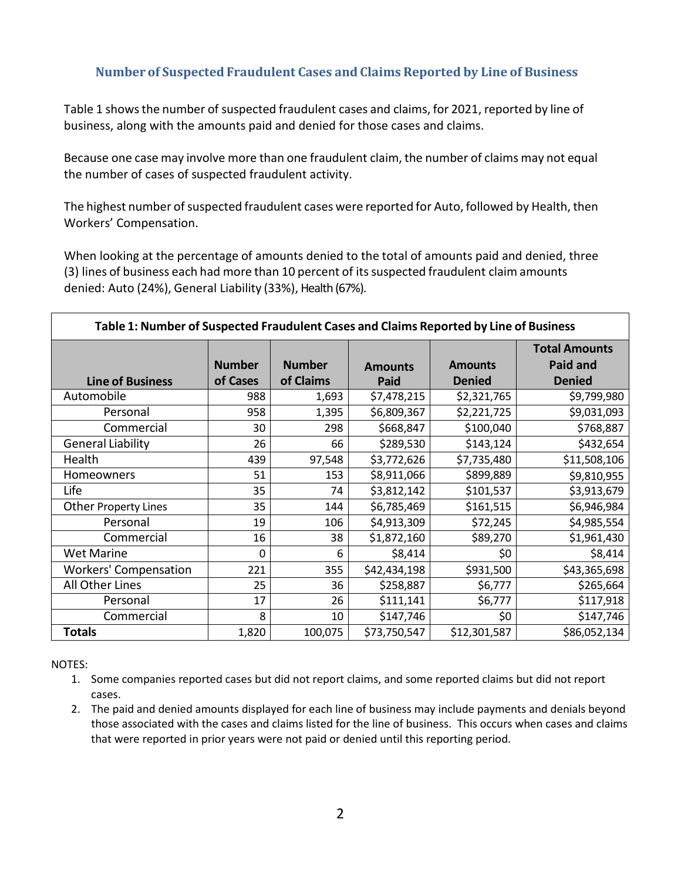## **Number of Suspected Fraudulent Cases and Claims Reported by Line of Business**

Table 1 showsthe number of suspected fraudulent cases and claims, for 2021, reported by line of business, along with the amounts paid and denied for those cases and claims.

Because one case may involve more than one fraudulent claim, the number of claims may not equal the number of cases of suspected fraudulent activity.

The highest number of suspected fraudulent cases were reported for Auto, followed by Health, then Workers' Compensation.

When looking at the percentage of amounts denied to the total of amounts paid and denied, three (3) lines of business each had more than 10 percent of itssuspected fraudulent claim amounts denied: Auto (24%), General Liability (33%), Health (67%).

| Table 1: Number of Suspected Fraudulent Cases and Claims Reported by Line of Business |               |               |                |                |                                         |  |
|---------------------------------------------------------------------------------------|---------------|---------------|----------------|----------------|-----------------------------------------|--|
|                                                                                       | <b>Number</b> | <b>Number</b> | <b>Amounts</b> | <b>Amounts</b> | <b>Total Amounts</b><br><b>Paid and</b> |  |
| <b>Line of Business</b>                                                               | of Cases      | of Claims     | Paid           | <b>Denied</b>  | <b>Denied</b>                           |  |
| Automobile                                                                            | 988           | 1,693         | \$7,478,215    | \$2,321,765    | \$9,799,980                             |  |
| Personal                                                                              | 958           | 1,395         | \$6,809,367    | \$2,221,725    | \$9,031,093                             |  |
| Commercial                                                                            | 30            | 298           | \$668,847      | \$100,040      | \$768,887                               |  |
| <b>General Liability</b>                                                              | 26            | 66            | \$289,530      | \$143,124      | \$432,654                               |  |
| Health                                                                                | 439           | 97,548        | \$3,772,626    | \$7,735,480    | \$11,508,106                            |  |
| Homeowners                                                                            | 51            | 153           | \$8,911,066    | \$899,889      | \$9,810,955                             |  |
| Life                                                                                  | 35            | 74            | \$3,812,142    | \$101,537      | \$3,913,679                             |  |
| <b>Other Property Lines</b>                                                           | 35            | 144           | \$6,785,469    | \$161,515      | \$6,946,984                             |  |
| Personal                                                                              | 19            | 106           | \$4,913,309    | \$72,245       | \$4,985,554                             |  |
| Commercial                                                                            | 16            | 38            | \$1,872,160    | \$89,270       | \$1,961,430                             |  |
| <b>Wet Marine</b>                                                                     | 0             | 6             | \$8,414        | \$0            | \$8,414                                 |  |
| <b>Workers' Compensation</b>                                                          | 221           | 355           | \$42,434,198   | \$931,500      | \$43,365,698                            |  |
| All Other Lines                                                                       | 25            | 36            | \$258,887      | \$6,777        | \$265,664                               |  |
| Personal                                                                              | 17            | 26            | \$111,141      | \$6,777        | \$117,918                               |  |
| Commercial                                                                            | 8             | 10            | \$147,746      | \$0            | \$147,746                               |  |
| <b>Totals</b>                                                                         | 1,820         | 100,075       | \$73,750,547   | \$12,301,587   | \$86,052,134                            |  |

NOTES:

- 1. Some companies reported cases but did not report claims, and some reported claims but did not report cases.
- 2. The paid and denied amounts displayed for each line of business may include payments and denials beyond those associated with the cases and claims listed for the line of business. This occurs when cases and claims that were reported in prior years were not paid or denied until this reporting period.